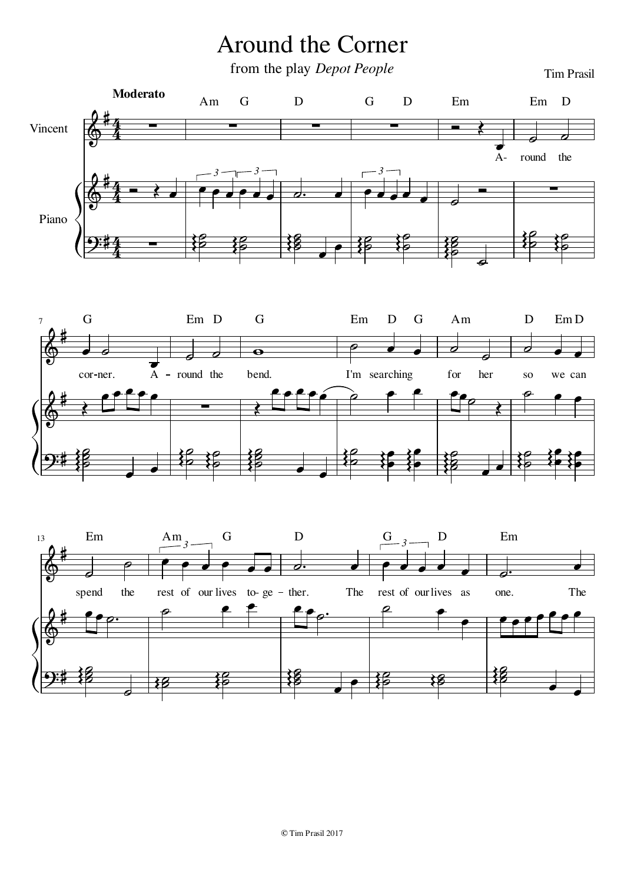## Around the Corner

from the play *Depot People* Tim Prasil





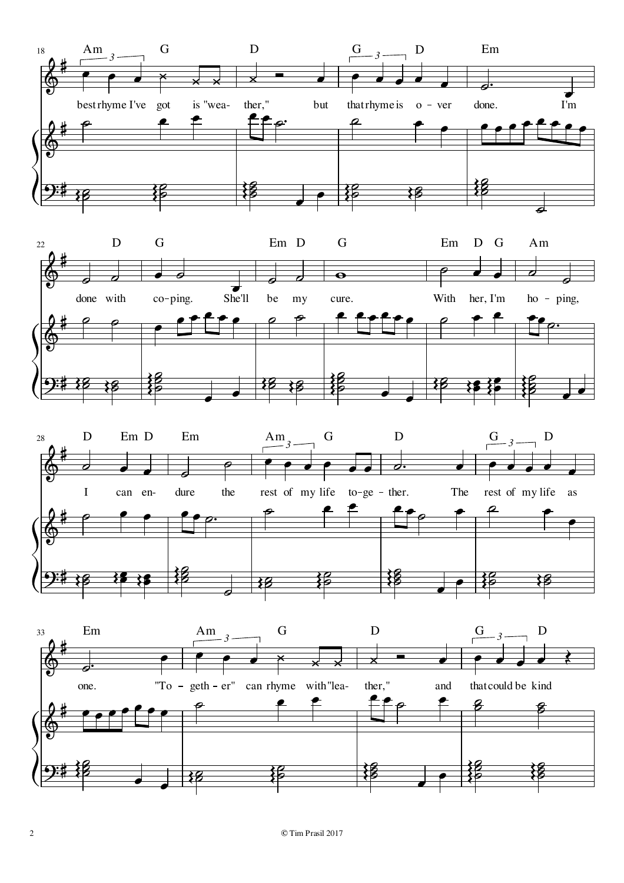